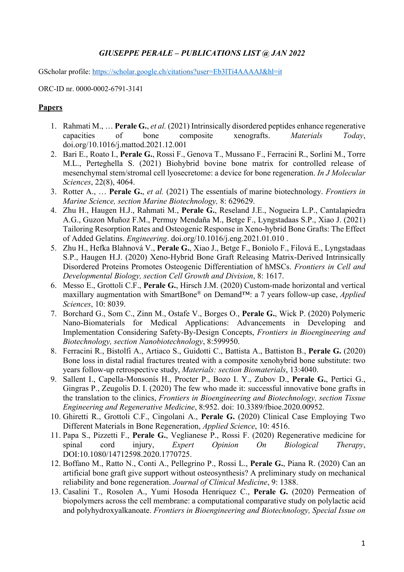# *GIUSEPPE PERALE – PUBLICATIONS LIST @ JAN 2022*

GScholar profile: https://scholar.google.ch/citations?user=Eb3lTi4AAAAJ&hl=it

ORC-ID nr. 0000-0002-6791-3141

## **Papers**

- 1. Rahmati M., … **Perale G.**, *et al.* (2021) Intrinsically disordered peptides enhance regenerative capacities of bone composite xenografts. *Materials Today*, doi.org/10.1016/j.mattod.2021.12.001
- 2. Bari E., Roato I., **Perale G.**, Rossi F., Genova T., Mussano F., Ferracini R., Sorlini M., Torre M.L., Perteghella S. (2021) Biohybrid bovine bone matrix for controlled release of mesenchymal stem/stromal cell lyosecretome: a device for bone regeneration. *In J Molecular Sciences*, 22(8), 4064.
- 3. Rotter A., … **Perale G.**, *et al.* (2021) The essentials of marine biotechnology. *Frontiers in Marine Science, section Marine Biotechnology,* 8: 629629.
- 4. Zhu H., Haugen H.J., Rahmati M., **Perale G.**, Reseland J.E., Nogueira L.P., Cantalapiedra A.G., Guzon Muñoz F.M., Permuy Mendaña M., Betge F., Lyngstadaas S.P., Xiao J. (2021) Tailoring Resorption Rates and Osteogenic Response in Xeno-hybrid Bone Grafts: The Effect of Added Gelatins. *Engineering*. doi.org/10.1016/j.eng.2021.01.010 .
- 5. Zhu H., Hefka Blahnová V., **Perale G.**, Xiao J., Betge F., Boniolo F., Filová E., Lyngstadaas S.P., Haugen H.J. (2020) Xeno-Hybrid Bone Graft Releasing Matrix-Derived Intrinsically Disordered Proteins Promotes Osteogenic Differentiation of hMSCs. *Frontiers in Cell and Developmental Biology, section Cell Growth and Division*, 8: 1617.
- 6. Messo E., Grottoli C.F., **Perale G.**, Hirsch J.M. (2020) Custom-made horizontal and vertical maxillary augmentation with SmartBone® on Demand™: a 7 years follow-up case, *Applied Sciences*, 10: 8039.
- 7. Borchard G., Som C., Zinn M., Ostafe V., Borges O., **Perale G.**, Wick P. (2020) Polymeric Nano-Biomaterials for Medical Applications: Advancements in Developing and Implementation Considering Safety-By-Design Concepts, *Frontiers in Bioengineering and Biotechnology, section Nanobiotechnology*, 8:599950.
- 8. Ferracini R., Bistolfi A., Artiaco S., Guidotti C., Battista A., Battiston B., **Perale G.** (2020) Bone loss in distal radial fractures treated with a composite xenohybrid bone substitute: two years follow-up retrospective study, *Materials: section Biomaterials*, 13:4040.
- 9. Sallent I., Capella-Monsonís H., Procter P., Bozo I. Y., Zubov D., **Perale G.**, Pertici G., Gingras P., Zeugolis D. I. (2020) The few who made it: successful innovative bone grafts in the translation to the clinics, *Frontiers in Bioengineering and Biotechnology, section Tissue Engineering and Regenerative Medicine*, 8:952. doi: 10.3389/fbioe.2020.00952.
- 10. Ghiretti R., Grottoli C.F., Cingolani A., **Perale G.** (2020) Clinical Case Employing Two Different Materials in Bone Regeneration, *Applied Science*, 10: 4516.
- 11. Papa S., Pizzetti F., **Perale G.**, Veglianese P., Rossi F. (2020) Regenerative medicine for spinal cord injury, *Expert Opinion On Biological Therapy*, DOI:10.1080/14712598.2020.1770725.
- 12. Boffano M., Ratto N., Conti A., Pellegrino P., Rossi L., **Perale G.**, Piana R. (2020) Can an artificial bone graft give support without osteosynthesis? A preliminary study on mechanical reliability and bone regeneration. *Journal of Clinical Medicine*, 9: 1388.
- 13. Casalini T., Rosolen A., Yumi Hosoda Henriquez C., **Perale G.** (2020) Permeation of biopolymers across the cell membrane: a computational comparative study on polylactic acid and polyhydroxyalkanoate. *Frontiers in Bioengineering and Biotechnology, Special Issue on*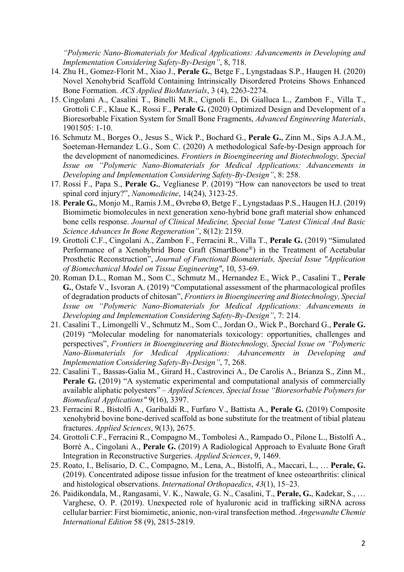*"Polymeric Nano-Biomaterials for Medical Applications: Advancements in Developing and Implementation Considering Safety-By-Design"*, 8, 718.

- 14. Zhu H., Gomez-Florit M., Xiao J., **Perale G.**, Betge F., Lyngstadaas S.P., Haugen H. (2020) Novel Xenohybrid Scaffold Containing Intrinsically Disordered Proteins Shows Enhanced Bone Formation. *ACS Applied BioMaterials*, 3 (4), 2263-2274.
- 15. Cingolani A., Casalini T., Binelli M.R., Cignoli E., Di Gialluca L., Zambon F., Villa T., Grottoli C.F., Klaue K., Rossi F., **Perale G.** (2020) Optimized Design and Development of a Bioresorbable Fixation System for Small Bone Fragments, *Advanced Engineering Materials*, 1901505: 1-10.
- 16. Schmutz M., Borges O., Jesus S., Wick P., Bochard G., **Perale G.**, Zinn M., Sips A.J.A.M., Soeteman-Hernandez L.G., Som C. (2020) A methodological Safe-by-Design approach for the development of nanomedicines. *Frontiers in Bioengineering and Biotechnology, Special Issue on "Polymeric Nano-Biomaterials for Medical Applications: Advancements in Developing and Implementation Considering Safety-By-Design"*, 8: 258.
- 17. Rossi F., Papa S., **Perale G.**, Veglianese P. (2019) "How can nanovectors be used to treat spinal cord injury?", *Nanomedicine*, 14(24), 3123-25.
- 18. **Perale G.**, Monjo M., Ramis J.M., Øvrebø Ø, Betge F., Lyngstadaas P.S., Haugen H.J. (2019) Biomimetic biomolecules in next generation xeno-hybrid bone graft material show enhanced bone cells response. *Journal of Clinical Medicine, Special Issue "Latest Clinical And Basic Science Advances In Bone Regeneration"*, 8(12): 2159.
- 19. Grottoli C.F., Cingolani A., Zambon F., Ferracini R., Villa T., **Perale G.** (2019) "Simulated Performance of a Xenohybrid Bone Graft (SmartBone®) in the Treatment of Acetabular Prosthetic Reconstruction", *Journal of Functional Biomaterials, Special Issue "Application of Biomechanical Model on Tissue Engineering"*, 10, 53-69.
- 20. Roman D.L., Roman M., Som C., Schmutz M., Hernandez E., Wick P., Casalini T., **Perale G.**, Ostafe V., Isvoran A. (2019) "Computational assessment of the pharmacological profiles of degradation products of chitosan", *Frontiers in Bioengineering and Biotechnology, Special Issue on "Polymeric Nano-Biomaterials for Medical Applications: Advancements in Developing and Implementation Considering Safety-By-Design"*, 7: 214.
- 21. Casalini T., Limongelli V., Schmutz M., Som C., Jordan O., Wick P., Borchard G., **Perale G.** (2019) "Molecular modeling for nanomaterials toxicology: opportunities, challenges and perspectives", *Frontiers in Bioengineering and Biotechnology, Special Issue on "Polymeric Nano-Biomaterials for Medical Applications: Advancements in Developing and Implementation Considering Safety-By-Design"*, 7, 268.
- 22. Casalini T., Bassas-Galia M., Girard H., Castrovinci A., De Carolis A., Brianza S., Zinn M., **Perale G.** (2019) "A systematic experimental and computational analysis of commercially available aliphatic polyesters" – *Applied Sciences, Special Issue "Bioresorbable Polymers for Biomedical Applications"* 9(16), 3397.
- 23. Ferracini R., Bistolfi A., Garibaldi R., Furfaro V., Battista A., **Perale G.** (2019) Composite xenohybrid bovine bone-derived scaffold as bone substitute for the treatment of tibial plateau fractures. *Applied Sciences*, 9(13), 2675.
- 24. Grottoli C.F., Ferracini R., Compagno M., Tombolesi A., Rampado O., Pilone L., Bistolfi A., Borrè A., Cingolani A., **Perale G.** (2019) A Radiological Approach to Evaluate Bone Graft Integration in Reconstructive Surgeries. *Applied Sciences*, 9, 1469.
- 25. Roato, I., Belisario, D. C., Compagno, M., Lena, A., Bistolfi, A., Maccari, L., … **Perale, G.** (2019). Concentrated adipose tissue infusion for the treatment of knee osteoarthritis: clinical and histological observations. *International Orthopaedics*, *43*(1), 15–23.
- 26. Paidikondala, M., Rangasami, V. K., Nawale, G. N., Casalini, T., **Perale, G.**, Kadekar, S., … Varghese, O. P. (2019). Unexpected role of hyaluronic acid in trafficking siRNA across cellular barrier: First biomimetic, anionic, non‐viral transfection method. *Angewandte Chemie International Edition* 58 (9), 2815-2819.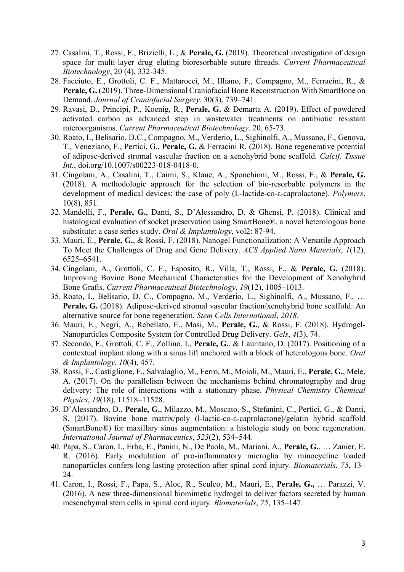- 27. Casalini, T., Rossi, F., Brizielli, L., & **Perale, G.** (2019). Theoretical investigation of design space for multi-layer drug eluting bioresorbable suture threads. *Current Pharmaceutical Biotechnology*, 20 (4), 332-345.
- 28. Facciuto, E., Grottoli, C. F., Mattarocci, M., Illiano, F., Compagno, M., Ferracini, R., & **Perale, G.** (2019). Three-Dimensional Craniofacial Bone Reconstruction With SmartBone on Demand. *Journal of Craniofacial Surgery*. 30(3), 739–741.
- 29. Ravasi, D., Principi, P., Koenig, R., **Perale, G.** & Demarta A. (2019). Effect of powdered activated carbon as advanced step in wastewater treatments on antibiotic resistant microorganisms. *Current Pharmaceutical Biotechnology*. 20, 65-73.
- 30. Roato, I., Belisario, D.C., Compagno, M., Verderio, L., Sighinolfi, A., Mussano, F., Genova, T., Veneziano, F., Pertici, G., **Perale, G.** & Ferracini R. (2018). Bone regenerative potential of adipose-derived stromal vascular fraction on a xenohybrid bone scaffold. *Calcif. Tissue Int.*, doi.org/10.1007/s00223-018-0418-0.
- 31. Cingolani, A., Casalini, T., Caimi, S., Klaue, A., Sponchioni, M., Rossi, F., & **Perale, G.** (2018). A methodologic approach for the selection of bio-resorbable polymers in the development of medical devices: the case of poly (L-lactide-co-ε-caprolactone). *Polymers*. 10(8), 851.
- 32. Mandelli, F., **Perale, G.**, Danti, S., D'Alessandro, D. & Ghensi, P. (2018). Clinical and histological evaluation of socket preservation using SmartBone®, a novel heterologous bone substitute: a case series study. *Oral & Implantology*, vol2: 87-94.
- 33. Mauri, E., **Perale, G.**, & Rossi, F. (2018). Nanogel Functionalization: A Versatile Approach To Meet the Challenges of Drug and Gene Delivery. *ACS Applied Nano Materials*, *1*(12), 6525–6541.
- 34. Cingolani, A., Grottoli, C. F., Esposito, R., Villa, T., Rossi, F., & **Perale, G.** (2018). Improving Bovine Bone Mechanical Characteristics for the Development of Xenohybrid Bone Grafts. *Current Pharmaceutical Biotechnology*, *19*(12), 1005–1013.
- 35. Roato, I., Belisario, D. C., Compagno, M., Verderio, L., Sighinolfi, A., Mussano, F., … Perale, G. (2018). Adipose-derived stromal vascular fraction/xenohybrid bone scaffold: An alternative source for bone regeneration. *Stem Cells International*, *2018*.
- 36. Mauri, E., Negri, A., Rebellato, E., Masi, M., **Perale, G.**, & Rossi, F. (2018). Hydrogel-Nanoparticles Composite System for Controlled Drug Delivery. *Gels*, *4*(3), 74.
- 37. Secondo, F., Grottoli, C. F., Zollino, I., **Perale, G.**, & Lauritano, D. (2017). Positioning of a contextual implant along with a sinus lift anchored with a block of heterologous bone. *Oral & Implantology*, *10*(4), 457.
- 38. Rossi, F., Castiglione, F., Salvalaglio, M., Ferro, M., Moioli, M., Mauri, E., **Perale, G.**, Mele, A. (2017). On the parallelism between the mechanisms behind chromatography and drug delivery: The role of interactions with a stationary phase. *Physical Chemistry Chemical Physics*, *19*(18), 11518–11528.
- 39. D'Alessandro, D., **Perale, G.**, Milazzo, M., Moscato, S., Stefanini, C., Pertici, G., & Danti, S. (2017). Bovine bone matrix/poly (l-lactic-co-ε-caprolactone)/gelatin hybrid scaffold (SmartBone®) for maxillary sinus augmentation: a histologic study on bone regeneration. *International Journal of Pharmaceutics*, *523*(2), 534–544.
- 40. Papa, S., Caron, I., Erba, E., Panini, N., De Paola, M., Mariani, A., **Perale, G.**, … Zanier, E. R. (2016). Early modulation of pro-inflammatory microglia by minocycline loaded nanoparticles confers long lasting protection after spinal cord injury. *Biomaterials*, *75*, 13– 24.
- 41. Caron, I., Rossi, F., Papa, S., Aloe, R., Sculco, M., Mauri, E., **Perale, G.,** … Parazzi, V. (2016). A new three-dimensional biomimetic hydrogel to deliver factors secreted by human mesenchymal stem cells in spinal cord injury. *Biomaterials*, *75*, 135–147.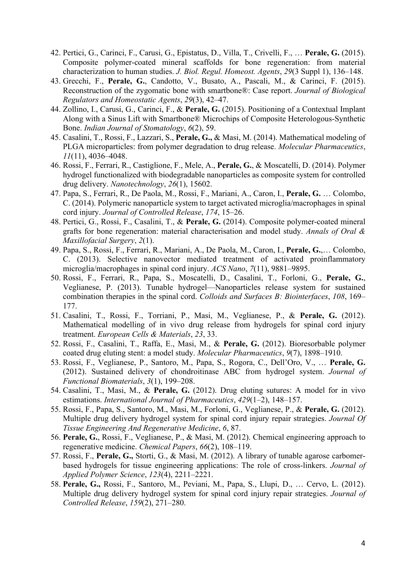- 42. Pertici, G., Carinci, F., Carusi, G., Epistatus, D., Villa, T., Crivelli, F., … **Perale, G.** (2015). Composite polymer-coated mineral scaffolds for bone regeneration: from material characterization to human studies. *J. Biol. Regul. Homeost. Agents*, *29*(3 Suppl 1), 136–148.
- 43. Grecchi, F., **Perale, G.**, Candotto, V., Busato, A., Pascali, M., & Carinci, F. (2015). Reconstruction of the zygomatic bone with smartbone®: Case report. *Journal of Biological Regulators and Homeostatic Agents*, *29*(3), 42–47.
- 44. Zollino, I., Carusi, G., Carinci, F., & **Perale, G.** (2015). Positioning of a Contextual Implant Along with a Sinus Lift with Smartbone® Microchips of Composite Heterologous-Synthetic Bone. *Indian Journal of Stomatology*, *6*(2), 59.
- 45. Casalini, T., Rossi, F., Lazzari, S., **Perale, G.,** & Masi, M. (2014). Mathematical modeling of PLGA microparticles: from polymer degradation to drug release. *Molecular Pharmaceutics*, *11*(11), 4036–4048.
- 46. Rossi, F., Ferrari, R., Castiglione, F., Mele, A., **Perale, G.**, & Moscatelli, D. (2014). Polymer hydrogel functionalized with biodegradable nanoparticles as composite system for controlled drug delivery. *Nanotechnology*, *26*(1), 15602.
- 47. Papa, S., Ferrari, R., De Paola, M., Rossi, F., Mariani, A., Caron, I., **Perale, G.** … Colombo, C. (2014). Polymeric nanoparticle system to target activated microglia/macrophages in spinal cord injury. *Journal of Controlled Release*, *174*, 15–26.
- 48. Pertici, G., Rossi, F., Casalini, T., & **Perale, G.** (2014). Composite polymer-coated mineral grafts for bone regeneration: material characterisation and model study. *Annals of Oral & Maxillofacial Surgery*, *2*(1).
- 49. Papa, S., Rossi, F., Ferrari, R., Mariani, A., De Paola, M., Caron, I., **Perale, G.**,… Colombo, C. (2013). Selective nanovector mediated treatment of activated proinflammatory microglia/macrophages in spinal cord injury. *ACS Nano*, *7*(11), 9881–9895.
- 50. Rossi, F., Ferrari, R., Papa, S., Moscatelli, D., Casalini, T., Forloni, G., **Perale, G.**, Veglianese, P. (2013). Tunable hydrogel—Nanoparticles release system for sustained combination therapies in the spinal cord. *Colloids and Surfaces B: Biointerfaces*, *108*, 169– 177.
- 51. Casalini, T., Rossi, F., Torriani, P., Masi, M., Veglianese, P., & **Perale, G.** (2012). Mathematical modelling of in vivo drug release from hydrogels for spinal cord injury treatment. *European Cells & Materials*, *23*, 33.
- 52. Rossi, F., Casalini, T., Raffa, E., Masi, M., & **Perale, G.** (2012). Bioresorbable polymer coated drug eluting stent: a model study. *Molecular Pharmaceutics*, *9*(7), 1898–1910.
- 53. Rossi, F., Veglianese, P., Santoro, M., Papa, S., Rogora, C., Dell'Oro, V., … **Perale, G.** (2012). Sustained delivery of chondroitinase ABC from hydrogel system. *Journal of Functional Biomaterials*, *3*(1), 199–208.
- 54. Casalini, T., Masi, M., & **Perale, G.** (2012). Drug eluting sutures: A model for in vivo estimations. *International Journal of Pharmaceutics*, *429*(1–2), 148–157.
- 55. Rossi, F., Papa, S., Santoro, M., Masi, M., Forloni, G., Veglianese, P., & **Perale, G.** (2012). Multiple drug delivery hydrogel system for spinal cord injury repair strategies. *Journal Of Tissue Engineering And Regenerative Medicine*, *6*, 87.
- 56. **Perale, G.**, Rossi, F., Veglianese, P., & Masi, M. (2012). Chemical engineering approach to regenerative medicine. *Chemical Papers*, *66*(2), 108–119.
- 57. Rossi, F., **Perale, G.,** Storti, G., & Masi, M. (2012). A library of tunable agarose carbomer‐ based hydrogels for tissue engineering applications: The role of cross‐linkers. *Journal of Applied Polymer Science*, *123*(4), 2211–2221.
- 58. **Perale, G.,** Rossi, F., Santoro, M., Peviani, M., Papa, S., Llupi, D., … Cervo, L. (2012). Multiple drug delivery hydrogel system for spinal cord injury repair strategies. *Journal of Controlled Release*, *159*(2), 271–280.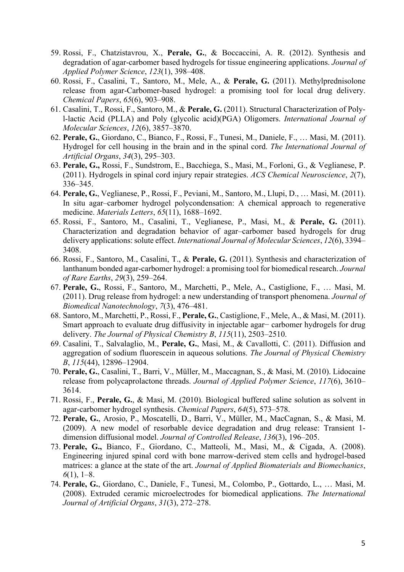- 59. Rossi, F., Chatzistavrou, X., **Perale, G.**, & Boccaccini, A. R. (2012). Synthesis and degradation of agar‐carbomer based hydrogels for tissue engineering applications. *Journal of Applied Polymer Science*, *123*(1), 398–408.
- 60. Rossi, F., Casalini, T., Santoro, M., Mele, A., & **Perale, G.** (2011). Methylprednisolone release from agar-Carbomer-based hydrogel: a promising tool for local drug delivery. *Chemical Papers*, *65*(6), 903–908.
- 61. Casalini, T., Rossi, F., Santoro, M., & **Perale, G.** (2011). Structural Characterization of Polyl-lactic Acid (PLLA) and Poly (glycolic acid)(PGA) Oligomers. *International Journal of Molecular Sciences*, *12*(6), 3857–3870.
- 62. **Perale, G.**, Giordano, C., Bianco, F., Rossi, F., Tunesi, M., Daniele, F., … Masi, M. (2011). Hydrogel for cell housing in the brain and in the spinal cord. *The International Journal of Artificial Organs*, *34*(3), 295–303.
- 63. **Perale, G.,** Rossi, F., Sundstrom, E., Bacchiega, S., Masi, M., Forloni, G., & Veglianese, P. (2011). Hydrogels in spinal cord injury repair strategies. *ACS Chemical Neuroscience*, *2*(7), 336–345.
- 64. **Perale, G.**, Veglianese, P., Rossi, F., Peviani, M., Santoro, M., Llupi, D., … Masi, M. (2011). In situ agar–carbomer hydrogel polycondensation: A chemical approach to regenerative medicine. *Materials Letters*, *65*(11), 1688–1692.
- 65. Rossi, F., Santoro, M., Casalini, T., Veglianese, P., Masi, M., & **Perale, G.** (2011). Characterization and degradation behavior of agar–carbomer based hydrogels for drug delivery applications: solute effect. *International Journal of Molecular Sciences*, *12*(6), 3394– 3408.
- 66. Rossi, F., Santoro, M., Casalini, T., & **Perale, G.** (2011). Synthesis and characterization of lanthanum bonded agar-carbomer hydrogel: a promising tool for biomedical research. *Journal of Rare Earths*, *29*(3), 259–264.
- 67. **Perale, G.**, Rossi, F., Santoro, M., Marchetti, P., Mele, A., Castiglione, F., … Masi, M. (2011). Drug release from hydrogel: a new understanding of transport phenomena. *Journal of Biomedical Nanotechnology*, *7*(3), 476–481.
- 68. Santoro, M., Marchetti, P., Rossi, F., **Perale, G.**, Castiglione, F., Mele, A., & Masi, M. (2011). Smart approach to evaluate drug diffusivity in injectable agar− carbomer hydrogels for drug delivery. *The Journal of Physical Chemistry B*, *115*(11), 2503–2510.
- 69. Casalini, T., Salvalaglio, M., **Perale, G.**, Masi, M., & Cavallotti, C. (2011). Diffusion and aggregation of sodium fluorescein in aqueous solutions. *The Journal of Physical Chemistry B*, *115*(44), 12896–12904.
- 70. **Perale, G.**, Casalini, T., Barri, V., Müller, M., Maccagnan, S., & Masi, M. (2010). Lidocaine release from polycaprolactone threads. *Journal of Applied Polymer Science*, *117*(6), 3610– 3614.
- 71. Rossi, F., **Perale, G.**, & Masi, M. (2010). Biological buffered saline solution as solvent in agar-carbomer hydrogel synthesis. *Chemical Papers*, *64*(5), 573–578.
- 72. **Perale, G.**, Arosio, P., Moscatelli, D., Barri, V., Müller, M., MacCagnan, S., & Masi, M. (2009). A new model of resorbable device degradation and drug release: Transient 1 dimension diffusional model. *Journal of Controlled Release*, *136*(3), 196–205.
- 73. **Perale, G.,** Bianco, F., Giordano, C., Matteoli, M., Masi, M., & Cigada, A. (2008). Engineering injured spinal cord with bone marrow-derived stem cells and hydrogel-based matrices: a glance at the state of the art. *Journal of Applied Biomaterials and Biomechanics*, *6*(1), 1–8.
- 74. **Perale, G.**, Giordano, C., Daniele, F., Tunesi, M., Colombo, P., Gottardo, L., … Masi, M. (2008). Extruded ceramic microelectrodes for biomedical applications. *The International Journal of Artificial Organs*, *31*(3), 272–278.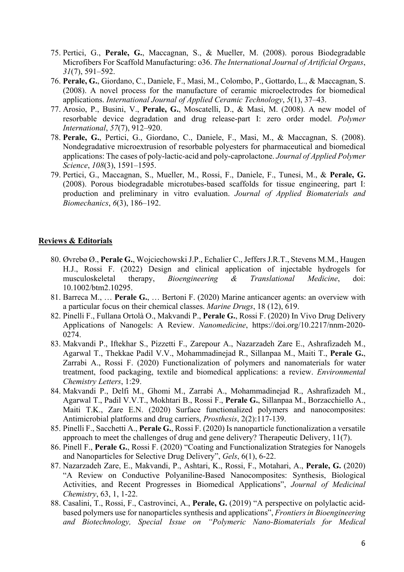- 75. Pertici, G., **Perale, G.**, Maccagnan, S., & Mueller, M. (2008). porous Biodegradable Microfibers For Scaffold Manufacturing: o36. *The International Journal of Artificial Organs*, *31*(7), 591–592.
- 76. **Perale, G.**, Giordano, C., Daniele, F., Masi, M., Colombo, P., Gottardo, L., & Maccagnan, S. (2008). A novel process for the manufacture of ceramic microelectrodes for biomedical applications. *International Journal of Applied Ceramic Technology*, *5*(1), 37–43.
- 77. Arosio, P., Busini, V., **Perale, G.**, Moscatelli, D., & Masi, M. (2008). A new model of resorbable device degradation and drug release‐part I: zero order model. *Polymer International*, *57*(7), 912–920.
- 78. **Perale, G.**, Pertici, G., Giordano, C., Daniele, F., Masi, M., & Maccagnan, S. (2008). Nondegradative microextrusion of resorbable polyesters for pharmaceutical and biomedical applications: The cases of poly‐lactic‐acid and poly‐caprolactone. *Journal of Applied Polymer Science*, *108*(3), 1591–1595.
- 79. Pertici, G., Maccagnan, S., Mueller, M., Rossi, F., Daniele, F., Tunesi, M., & **Perale, G.** (2008). Porous biodegradable microtubes-based scaffolds for tissue engineering, part I: production and preliminary in vitro evaluation. *Journal of Applied Biomaterials and Biomechanics*, *6*(3), 186–192.

### **Reviews & Editorials**

- 80. Øvrebø Ø., **Perale G.**, Wojciechowski J.P., Echalier C., Jeffers J.R.T., Stevens M.M., Haugen H.J., Rossi F. (2022) Design and clinical application of injectable hydrogels for musculoskeletal therapy, *Bioengineering & Translational Medicine*, doi: 10.1002/btm2.10295.
- 81. Barreca M., … **Perale G.**, … Bertoni F. (2020) Marine anticancer agents: an overview with a particular focus on their chemical classes. *Marine Drugs*, 18 (12), 619.
- 82. Pinelli F., Fullana Ortolà O., Makvandi P., **Perale G.**, Rossi F. (2020) In Vivo Drug Delivery Applications of Nanogels: A Review. *Nanomedicine*, https://doi.org/10.2217/nnm-2020- 0274.
- 83. Makvandi P., Iftekhar S., Pizzetti F., Zarepour A., Nazarzadeh Zare E., Ashrafizadeh M., Agarwal T., Thekkae Padil V.V., Mohammadinejad R., Sillanpaa M., Maiti T., **Perale G.**, Zarrabi A., Rossi F. (2020) Functionalization of polymers and nanomaterials for water treatment, food packaging, textile and biomedical applications: a review. *Environmental Chemistry Letters*, 1:29.
- 84. Makvandi P., Delfi M., Ghomi M., Zarrabi A., Mohammadinejad R., Ashrafizadeh M., Agarwal T., Padil V.V.T., Mokhtari B., Rossi F., **Perale G.**, Sillanpaa M., Borzacchiello A., Maiti T.K., Zare E.N. (2020) Surface functionalized polymers and nanocomposites: Antimicrobial platforms and drug carriers, *Prosthesis*, 2(2):117-139.
- 85. Pinelli F., Sacchetti A., **Perale G.**, Rossi F. (2020) Is nanoparticle functionalization a versatile approach to meet the challenges of drug and gene delivery? Therapeutic Delivery, 11(7).
- 86. Pinell F., **Perale G.**, Rossi F. (2020) "Coating and Functionalization Strategies for Nanogels and Nanoparticles for Selective Drug Delivery", *Gels*, 6(1), 6-22.
- 87. Nazarzadeh Zare, E., Makvandi, P., Ashtari, K., Rossi, F., Motahari, A., **Perale, G.** (2020) "A Review on Conductive Polyaniline-Based Nanocomposites: Synthesis, Biological Activities, and Recent Progresses in Biomedical Applications", *Journal of Medicinal Chemistry*, 63, 1, 1-22.
- 88. Casalini, T., Rossi, F., Castrovinci, A., **Perale, G.** (2019) "A perspective on polylactic acidbased polymers use for nanoparticles synthesis and applications", *Frontiers in Bioengineering and Biotechnology, Special Issue on "Polymeric Nano-Biomaterials for Medical*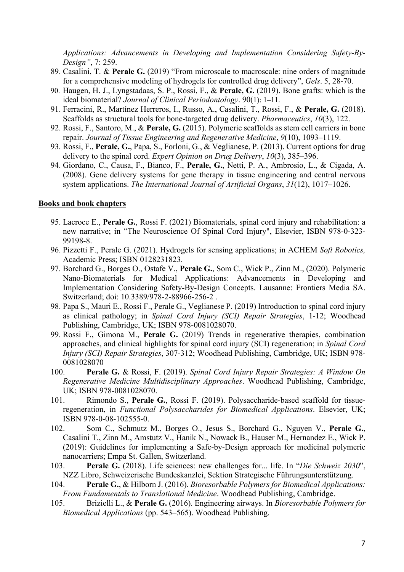*Applications: Advancements in Developing and Implementation Considering Safety-By-Design"*, 7: 259.

- 89. Casalini, T. & **Perale G.** (2019) "From microscale to macroscale: nine orders of magnitude for a comprehensive modeling of hydrogels for controlled drug delivery", *Gels*. 5, 28-70.
- 90. Haugen, H. J., Lyngstadaas, S. P., Rossi, F., & **Perale, G.** (2019). Bone grafts: which is the ideal biomaterial? *Journal of Clinical Periodontology*. 90(1): 1–11.
- 91. Ferracini, R., Martínez Herreros, I., Russo, A., Casalini, T., Rossi, F., & **Perale, G.** (2018). Scaffolds as structural tools for bone-targeted drug delivery. *Pharmaceutics*, *10*(3), 122.
- 92. Rossi, F., Santoro, M., & **Perale, G.** (2015). Polymeric scaffolds as stem cell carriers in bone repair. *Journal of Tissue Engineering and Regenerative Medicine*, *9*(10), 1093–1119.
- 93. Rossi, F., **Perale, G.**, Papa, S., Forloni, G., & Veglianese, P. (2013). Current options for drug delivery to the spinal cord. *Expert Opinion on Drug Delivery*, *10*(3), 385–396.
- 94. Giordano, C., Causa, F., Bianco, F., **Perale, G.**, Netti, P. A., Ambrosio, L., & Cigada, A. (2008). Gene delivery systems for gene therapy in tissue engineering and central nervous system applications. *The International Journal of Artificial Organs*, *31*(12), 1017–1026.

### **Books and book chapters**

- 95. Lacroce E., **Perale G.**, Rossi F. (2021) Biomaterials, spinal cord injury and rehabilitation: a new narrative; in "The Neuroscience Of Spinal Cord Injury", Elsevier, ISBN 978-0-323- 99198-8.
- 96. Pizzetti F., Perale G. (2021). Hydrogels for sensing applications; in ACHEM *Soft Robotics,*  Academic Press; ISBN 0128231823.
- 97. Borchard G., Borges O., Ostafe V., **Perale G.**, Som C., Wick P., Zinn M., (2020). Polymeric Nano-Biomaterials for Medical Applications: Advancements in Developing and Implementation Considering Safety-By-Design Concepts. Lausanne: Frontiers Media SA. Switzerland; doi: 10.3389/978-2-88966-256-2 .
- 98. Papa S., Mauri E., Rossi F., Perale G., Veglianese P. (2019) Introduction to spinal cord injury as clinical pathology; in *Spinal Cord Injury (SCI) Repair Strategies*, 1-12; Woodhead Publishing, Cambridge, UK; ISBN 978-0081028070.
- 99. Rossi F., Gimona M., **Perale G.** (2019) Trends in regenerative therapies, combination approaches, and clinical highlights for spinal cord injury (SCI) regeneration; in *Spinal Cord Injury (SCI) Repair Strategies*, 307-312; Woodhead Publishing, Cambridge, UK; ISBN 978- 0081028070
- 100. **Perale G.** & Rossi, F. (2019). *Spinal Cord Injury Repair Strategies: A Window On Regenerative Medicine Multidisciplinary Approaches*. Woodhead Publishing, Cambridge, UK; ISBN 978-0081028070.
- 101. Rimondo S., **Perale G.**, Rossi F. (2019). Polysaccharide-based scaffold for tissueregeneration, in *Functional Polysaccharides for Biomedical Applications*. Elsevier, UK; ISBN 978-0-08-102555-0.
- 102. Som C., Schmutz M., Borges O., Jesus S., Borchard G., Nguyen V., **Perale G.**, Casalini T., Zinn M., Amstutz V., Hanik N., Nowack B., Hauser M., Hernandez E., Wick P. (2019): Guidelines for implementing a Safe-by-Design approach for medicinal polymeric nanocarriers; Empa St. Gallen, Switzerland.
- 103. **Perale G.** (2018). Life sciences: new challenges for... life. In "*Die Schweiz 2030*", NZZ Libro, Schweizerische Bundeskanzlei, Sektion Strategische Führungsunterstützung.
- 104. **Perale G.**, & Hilborn J. (2016). *Bioresorbable Polymers for Biomedical Applications: From Fundamentals to Translational Medicine*. Woodhead Publishing, Cambridge.
- 105. Brizielli L., & **Perale G.** (2016). Engineering airways. In *Bioresorbable Polymers for Biomedical Applications* (pp. 543–565). Woodhead Publishing.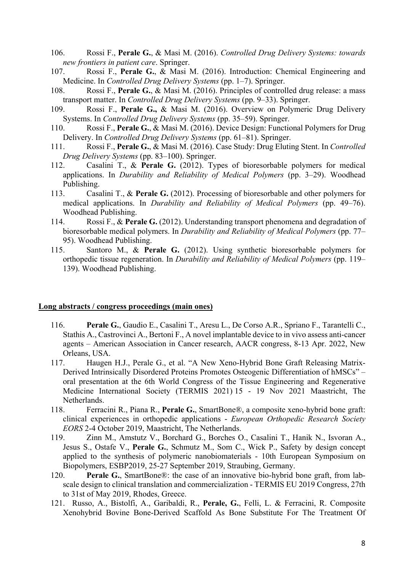- 106. Rossi F., **Perale G.**, & Masi M. (2016). *Controlled Drug Delivery Systems: towards new frontiers in patient care*. Springer.
- 107. Rossi F., **Perale G.**, & Masi M. (2016). Introduction: Chemical Engineering and Medicine. In *Controlled Drug Delivery Systems* (pp. 1–7). Springer.
- 108. Rossi F., **Perale G.**, & Masi M. (2016). Principles of controlled drug release: a mass transport matter. In *Controlled Drug Delivery Systems* (pp. 9–33). Springer.
- 109. Rossi F., **Perale G.,** & Masi M. (2016). Overview on Polymeric Drug Delivery Systems. In *Controlled Drug Delivery Systems* (pp. 35–59). Springer.
- 110. Rossi F., **Perale G.**, & Masi M. (2016). Device Design: Functional Polymers for Drug Delivery. In *Controlled Drug Delivery Systems* (pp. 61–81). Springer.
- 111. Rossi F., **Perale G.**, & Masi M. (2016). Case Study: Drug Eluting Stent. In *Controlled Drug Delivery Systems* (pp. 83–100). Springer.
- 112. Casalini T., & **Perale G.** (2012). Types of bioresorbable polymers for medical applications. In *Durability and Reliability of Medical Polymers* (pp. 3–29). Woodhead Publishing.
- 113. Casalini T., & **Perale G.** (2012). Processing of bioresorbable and other polymers for medical applications. In *Durability and Reliability of Medical Polymers* (pp. 49–76). Woodhead Publishing.
- 114. Rossi F., & **Perale G.** (2012). Understanding transport phenomena and degradation of bioresorbable medical polymers. In *Durability and Reliability of Medical Polymers* (pp. 77– 95). Woodhead Publishing.
- 115. Santoro M., & **Perale G.** (2012). Using synthetic bioresorbable polymers for orthopedic tissue regeneration. In *Durability and Reliability of Medical Polymers* (pp. 119– 139). Woodhead Publishing.

#### **Long abstracts / congress proceedings (main ones)**

- 116. **Perale G.**, Gaudio E., Casalini T., Aresu L., De Corso A.R., Spriano F., Tarantelli C., Stathis A., Castrovinci A., Bertoni F., A novel implantable device to in vivo assess anti-cancer agents – American Association in Cancer research, AACR congress, 8-13 Apr. 2022, New Orleans, USA.
- 117. Haugen H.J., Perale G., et al. "A New Xeno-Hybrid Bone Graft Releasing Matrix-Derived Intrinsically Disordered Proteins Promotes Osteogenic Differentiation of hMSCs" – oral presentation at the 6th World Congress of the Tissue Engineering and Regenerative Medicine International Society (TERMIS 2021) 15 - 19 Nov 2021 Maastricht, The Netherlands.
- 118. Ferracini R., Piana R., **Perale G.**, SmartBone®, a composite xeno-hybrid bone graft: clinical experiences in orthopedic applications - *European Orthopedic Research Society EORS* 2-4 October 2019, Maastricht, The Netherlands.
- 119. Zinn M., Amstutz V., Borchard G., Borches O., Casalini T., Hanik N., Isvoran A., Jesus S., Ostafe V., **Perale G.**, Schmutz M., Som C., Wick P., Safety by design concept applied to the synthesis of polymeric nanobiomaterials - 10th European Symposium on Biopolymers, ESBP2019, 25-27 September 2019, Straubing, Germany.
- 120. **Perale G.**, SmartBone®: the case of an innovative bio-hybrid bone graft, from labscale design to clinical translation and commercialization - TERMIS EU 2019 Congress, 27th to 31st of May 2019, Rhodes, Greece.
- 121. Russo, A., Bistolfi, A., Garibaldi, R., **Perale, G.**, Felli, L. & Ferracini, R. Composite Xenohybrid Bovine Bone-Derived Scaffold As Bone Substitute For The Treatment Of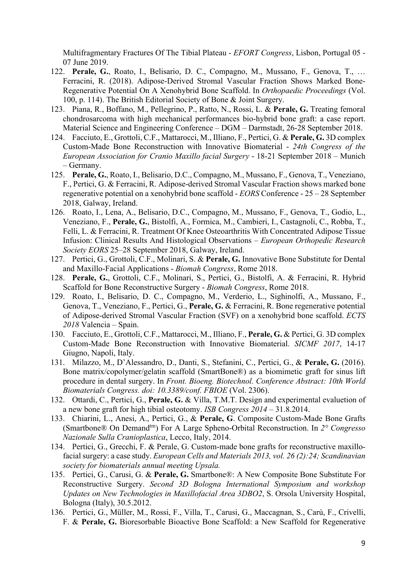Multifragmentary Fractures Of The Tibial Plateau - *EFORT Congress*, Lisbon, Portugal 05 - 07 June 2019.

- 122. **Perale, G.**, Roato, I., Belisario, D. C., Compagno, M., Mussano, F., Genova, T., … Ferracini, R. (2018). Adipose-Derived Stromal Vascular Fraction Shows Marked Bone-Regenerative Potential On A Xenohybrid Bone Scaffold. In *Orthopaedic Proceedings* (Vol. 100, p. 114). The British Editorial Society of Bone & Joint Surgery.
- 123. Piana, R., Boffano, M., Pellegrino, P., Ratto, N., Rossi, L. & **Perale, G.** Treating femoral chondrosarcoma with high mechanical performances bio-hybrid bone graft: a case report. Material Science and Engineering Conference – DGM – Darmstadt, 26-28 September 2018.
- 124. Facciuto, E., Grottoli, C.F., Mattarocci, M., Illiano, F., Pertici, G. & **Perale, G.** 3D complex Custom-Made Bone Reconstruction with Innovative Biomaterial - *24th Congress of the European Association for Cranio Maxillo facial Surgery* - 18-21 September 2018 – Munich – Germany.
- 125. **Perale, G.**, Roato, I., Belisario, D.C., Compagno, M., Mussano, F., Genova, T., Veneziano, F., Pertici, G. & Ferracini, R. Adipose-derived Stromal Vascular Fraction shows marked bone regenerative potential on a xenohybrid bone scaffold - *EORS* Conference - 25 – 28 September 2018, Galway, Ireland.
- 126. Roato, I., Lena, A., Belisario, D.C., Compagno, M., Mussano, F., Genova, T., Godio, L., Veneziano, F., **Perale, G.**, Bistolfi, A., Formica, M., Cambieri, I., Castagnoli, C., Robba, T., Felli, L. & Ferracini, R. Treatment Of Knee Osteoarthritis With Concentrated Adipose Tissue Infusion: Clinical Results And Histological Observations – *European Orthopedic Research Society EORS* 25–28 September 2018, Galway, Ireland.
- 127. Pertici, G., Grottoli, C.F., Molinari, S. & **Perale, G.** Innovative Bone Substitute for Dental and Maxillo-Facial Applications - *Biomah Congress*, Rome 2018.
- 128. **Perale, G.**, Grottoli, C.F., Molinari, S., Pertici, G., Bistolfi, A. & Ferracini, R. Hybrid Scaffold for Bone Reconstructive Surgery - *Biomah Congress*, Rome 2018.
- 129. Roato, I., Belisario, D. C., Compagno, M., Verderio, L., Sighinolfi, A., Mussano, F., Genova, T., Veneziano, F., Pertici, G., **Perale, G.** & Ferracini, R. Bone regenerative potential of Adipose-derived Stromal Vascular Fraction (SVF) on a xenohybrid bone scaffold. *ECTS 2018* Valencia – Spain.
- 130. Facciuto, E., Grottoli, C.F., Mattarocci, M., Illiano, F., **Perale, G.** & Pertici, G. 3D complex Custom-Made Bone Reconstruction with Innovative Biomaterial. *SICMF 2017*, 14-17 Giugno, Napoli, Italy.
- 131. Milazzo, M., D'Alessandro, D., Danti, S., Stefanini, C., Pertici, G., & **Perale, G.** (2016). Bone matrix/copolymer/gelatin scaffold (SmartBone®) as a biomimetic graft for sinus lift procedure in dental surgery. In *Front. Bioeng. Biotechnol. Conference Abstract: 10th World Biomaterials Congress. doi: 10.3389/conf. FBIOE* (Vol. 2306).
- 132. Ottardi, C., Pertici, G., **Perale, G.** & Villa, T.M.T. Design and experimental evaluetion of a new bone graft for high tibial osteotomy. *ISB Congress 2014* – 31.8.2014.
- 133. Chiarini, L., Anesi, A., Pertici, G., & **Perale, G**. Composite Custom-Made Bone Grafts (Smartbone® On Demandtm) For A Large Spheno-Orbital Reconstruction. In *2° Congresso Nazionale Sulla Cranioplastica*, Lecco, Italy, 2014.
- 134. Pertici, G., Grecchi, F. & Perale, G. Custom-made bone grafts for reconstructive maxillofacial surgery: a case study. *European Cells and Materials 2013, vol. 26 (2):24; Scandinavian society for biomaterials annual meeting Upsala.*
- 135. Pertici, G., Carusi, G. & **Perale, G.** Smartbone®: A New Composite Bone Substitute For Reconstructive Surgery. *Second 3D Bologna International Symposium and workshop Updates on New Technologies in Maxillofacial Area 3DBO2*, S. Orsola University Hospital, Bologna (Italy), 30.5.2012.
- 136. Pertici, G., Müller, M., Rossi, F., Villa, T., Carusi, G., Maccagnan, S., Carù, F., Crivelli, F. & **Perale, G.** Bioresorbable Bioactive Bone Scaffold: a New Scaffold for Regenerative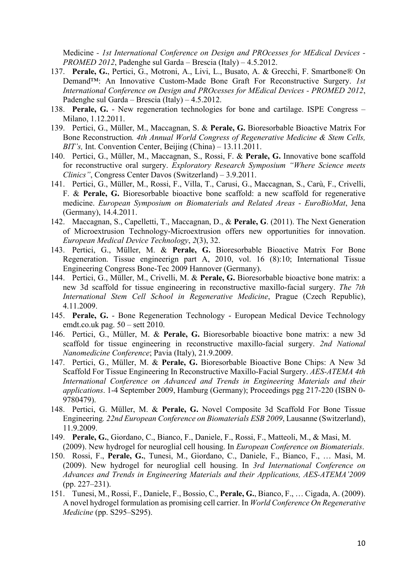Medicine *- 1st International Conference on Design and PROcesses for MEdical Devices - PROMED 2012*, Padenghe sul Garda – Brescia (Italy) – 4.5.2012.

- 137. **Perale, G.**, Pertici, G., Motroni, A., Livi, L., Busato, A. & Grecchi, F. Smartbone® On Demand™: An Innovative Custom-Made Bone Graft For Reconstructive Surgery. *1st International Conference on Design and PROcesses for MEdical Devices - PROMED 2012*, Padenghe sul Garda – Brescia (Italy) – 4.5.2012.
- 138. **Perale, G.** New regeneration technologies for bone and cartilage. ISPE Congress Milano, 1.12.2011.
- 139. Pertici, G., Müller, M., Maccagnan, S. & **Perale, G.** Bioresorbable Bioactive Matrix For Bone Reconstruction*. 4th Annual World Congress of Regenerative Medicine & Stem Cells, BIT's,* Int. Convention Center, Beijing (China) – 13.11.2011.
- 140. Pertici, G., Müller, M., Maccagnan, S., Rossi, F. & **Perale, G.** Innovative bone scaffold for reconstructive oral surgery. *Exploratory Research Symposium "Where Science meets Clinics"*, Congress Center Davos (Switzerland) – 3.9.2011.
- 141. Pertici, G., Müller, M., Rossi, F., Villa, T., Carusi, G., Maccagnan, S., Carù, F., Crivelli, F. & **Perale, G.** Bioresorbable bioactive bone scaffold: a new scaffold for regenerative medicine. *European Symposium on Biomaterials and Related Areas - EuroBioMat*, Jena (Germany), 14.4.2011.
- 142. Maccagnan, S., Capelletti, T., Maccagnan, D., & **Perale, G**. (2011). The Next Generation of Microextrusion Technology-Microextrusion offers new opportunities for innovation. *European Medical Device Technology*, *2*(3), 32.
- 143. Pertici, G., Müller, M. & **Perale, G.** Bioresorbable Bioactive Matrix For Bone Regeneration. Tissue engineerign part A, 2010, vol. 16 (8):10; International Tissue Engineering Congress Bone-Tec 2009 Hannover (Germany).
- 144. Pertici, G., Müller, M., Crivelli, M. & **Perale, G.** Bioresorbable bioactive bone matrix: a new 3d scaffold for tissue engineering in reconstructive maxillo-facial surgery. *The 7th International Stem Cell School in Regenerative Medicine*, Prague (Czech Republic), 4.11.2009.
- 145. **Perale, G.** Bone Regeneration Technology European Medical Device Technology emdt.co.uk pag. 50 – sett 2010.
- 146. Pertici, G., Müller, M. & **Perale, G.** Bioresorbable bioactive bone matrix: a new 3d scaffold for tissue engineering in reconstructive maxillo-facial surgery. *2nd National Nanomedicine Conference*; Pavia (Italy), 21.9.2009.
- 147. Pertici, G., Müller, M. & **Perale, G.** Bioresorbable Bioactive Bone Chips: A New 3d Scaffold For Tissue Engineering In Reconstructive Maxillo-Facial Surgery. *AES-ATEMA 4th International Conference on Advanced and Trends in Engineering Materials and their applications*. 1-4 September 2009, Hamburg (Germany); Proceedings pgg 217-220 (ISBN 0- 9780479).
- 148. Pertici, G. Müller, M. & **Perale, G.** Novel Composite 3d Scaffold For Bone Tissue Engineering*. 22nd European Conference on Biomaterials ESB 2009*, Lausanne (Switzerland), 11.9.2009.
- 149. **Perale, G.**, Giordano, C., Bianco, F., Daniele, F., Rossi, F., Matteoli, M., & Masi, M. (2009). New hydrogel for neuroglial cell housing. In *European Conference on Biomaterials*.
- 150. Rossi, F., **Perale, G.**, Tunesi, M., Giordano, C., Daniele, F., Bianco, F., … Masi, M. (2009). New hydrogel for neuroglial cell housing. In *3rd International Conference on Advances and Trends in Engineering Materials and their Applications, AES-ATEMA'2009* (pp. 227–231).
- 151. Tunesi, M., Rossi, F., Daniele, F., Bossio, C., **Perale, G.**, Bianco, F., … Cigada, A. (2009). A novel hydrogel formulation as promising cell carrier. In *World Conference On Regenerative Medicine* (pp. S295–S295).